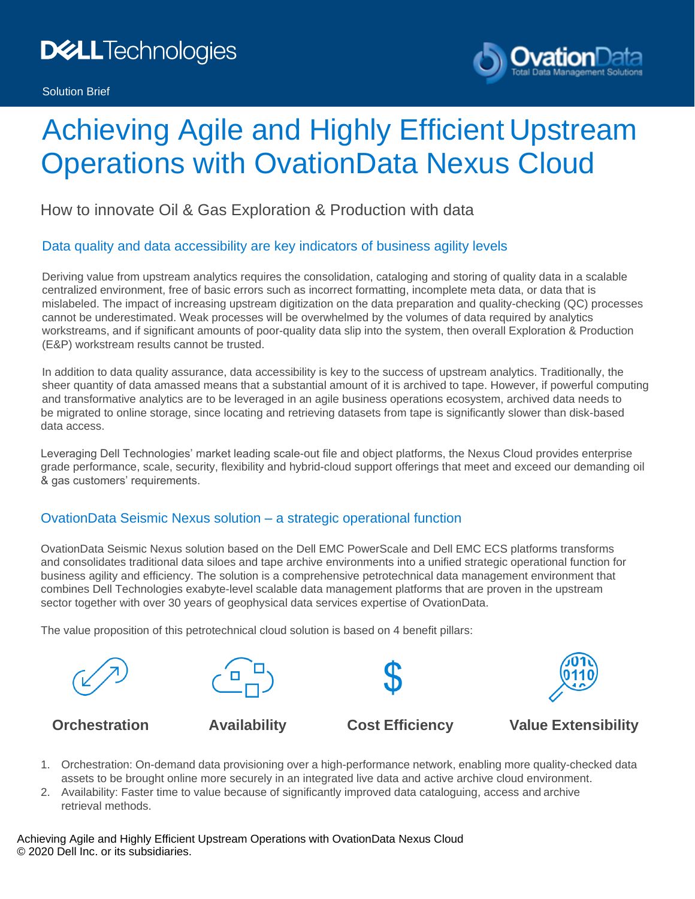

# Achieving Agile and Highly Efficient Upstream Operations with OvationData Nexus Cloud

How to innovate Oil & Gas Exploration & Production with data

# Data quality and data accessibility are key indicators of business agility levels

Deriving value from upstream analytics requires the consolidation, cataloging and storing of quality data in a scalable centralized environment, free of basic errors such as incorrect formatting, incomplete meta data, or data that is mislabeled. The impact of increasing upstream digitization on the data preparation and quality-checking (QC) processes cannot be underestimated. Weak processes will be overwhelmed by the volumes of data required by analytics workstreams, and if significant amounts of poor-quality data slip into the system, then overall Exploration & Production (E&P) workstream results cannot be trusted.

In addition to data quality assurance, data accessibility is key to the success of upstream analytics. Traditionally, the sheer quantity of data amassed means that a substantial amount of it is archived to tape. However, if powerful computing and transformative analytics are to be leveraged in an agile business operations ecosystem, archived data needs to be migrated to online storage, since locating and retrieving datasets from tape is significantly slower than disk-based data access.

Leveraging Dell Technologies' market leading scale-out file and object platforms, the Nexus Cloud provides enterprise grade performance, scale, security, flexibility and hybrid-cloud support offerings that meet and exceed our demanding oil & gas customers' requirements.

# OvationData Seismic Nexus solution – a strategic operational function

OvationData Seismic Nexus solution based on the Dell EMC PowerScale and Dell EMC ECS platforms transforms and consolidates traditional data siloes and tape archive environments into a unified strategic operational function for business agility and efficiency. The solution is a comprehensive petrotechnical data management environment that combines Dell Technologies exabyte-level scalable data management platforms that are proven in the upstream sector together with over 30 years of geophysical data services expertise of OvationData.

The value proposition of this petrotechnical cloud solution is based on 4 benefit pillars:



- 1. Orchestration: On-demand data provisioning over a high-performance network, enabling more quality-checked data assets to be brought online more securely in an integrated live data and active archive cloud environment.
- 2. Availability: Faster time to value because of significantly improved data cataloguing, access and archive retrieval methods.

Achieving Agile and Highly Efficient Upstream Operations with OvationData Nexus Cloud © 2020 Dell Inc. or its subsidiaries.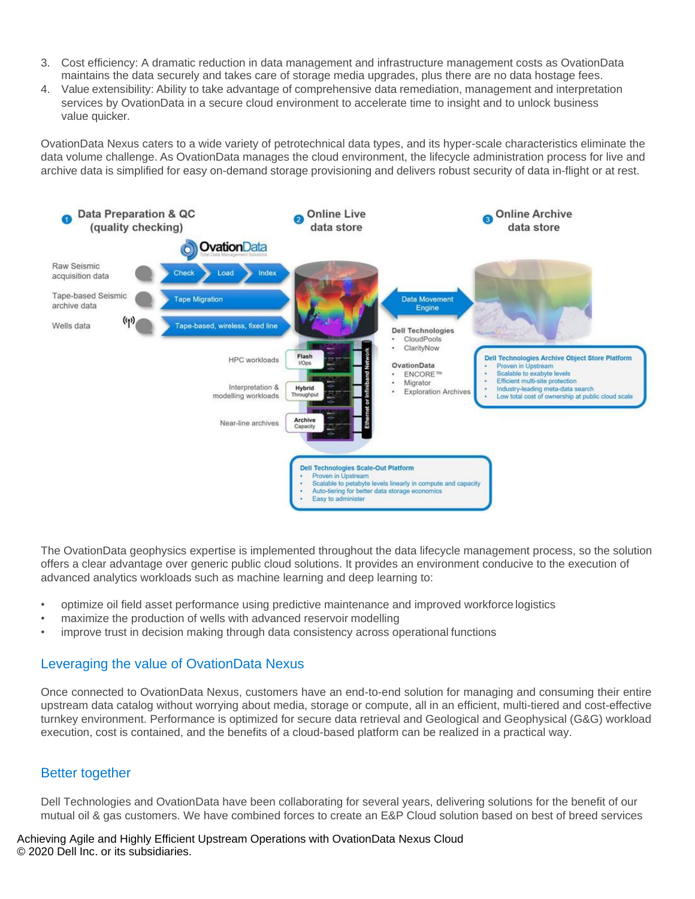- 3. Cost efficiency: A dramatic reduction in data management and infrastructure management costs as OvationData maintains the data securely and takes care of storage media upgrades, plus there are no data hostage fees.
- 4. Value extensibility: Ability to take advantage of comprehensive data remediation, management and interpretation services by OvationData in a secure cloud environment to accelerate time to insight and to unlock business value quicker.

OvationData Nexus caters to a wide variety of petrotechnical data types, and its hyper-scale characteristics eliminate the data volume challenge. As OvationData manages the cloud environment, the lifecycle administration process for live and archive data is simplified for easy on-demand storage provisioning and delivers robust security of data in-flight or at rest.



The OvationData geophysics expertise is implemented throughout the data lifecycle management process, so the solution offers a clear advantage over generic public cloud solutions. It provides an environment conducive to the execution of advanced analytics workloads such as machine learning and deep learning to:

- optimize oil field asset performance using predictive maintenance and improved workforce logistics
- maximize the production of wells with advanced reservoir modelling
- improve trust in decision making through data consistency across operational functions

### Leveraging the value of OvationData Nexus

Once connected to OvationData Nexus, customers have an end-to-end solution for managing and consuming their entire upstream data catalog without worrying about media, storage or compute, all in an efficient, multi-tiered and cost-effective turnkey environment. Performance is optimized for secure data retrieval and Geological and Geophysical (G&G) workload execution, cost is contained, and the benefits of a cloud-based platform can be realized in a practical way.

#### Better together

Dell Technologies and OvationData have been collaborating for several years, delivering solutions for the benefit of our mutual oil & gas customers. We have combined forces to create an E&P Cloud solution based on best of breed services

Achieving Agile and Highly Efficient Upstream Operations with OvationData Nexus Cloud © 2020 Dell Inc. or its subsidiaries.